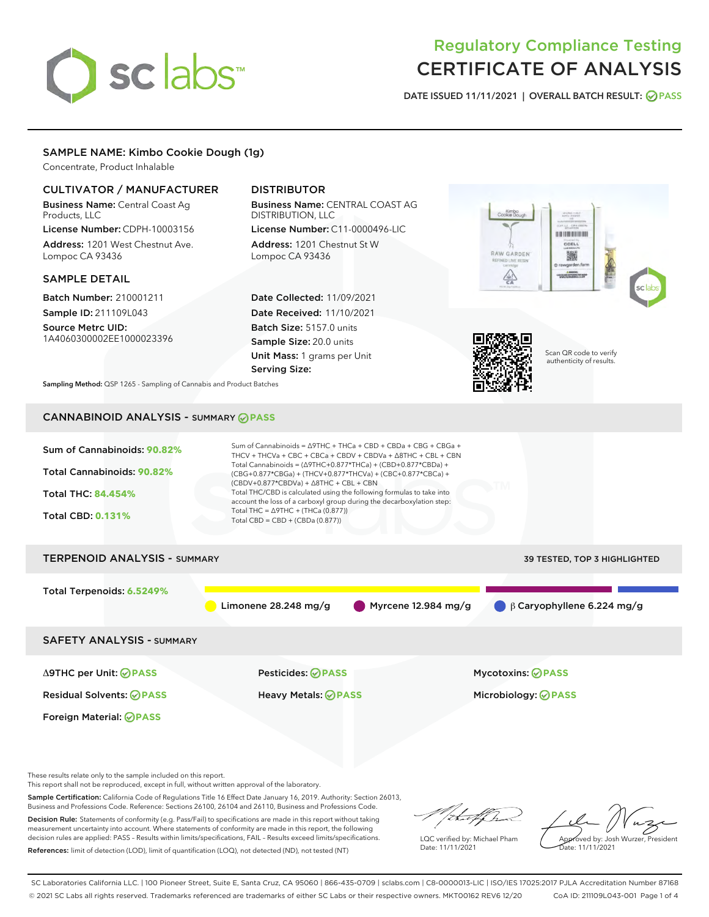# sclabs<sup>\*</sup>

# Regulatory Compliance Testing CERTIFICATE OF ANALYSIS

DATE ISSUED 11/11/2021 | OVERALL BATCH RESULT: @ PASS

#### SAMPLE NAME: Kimbo Cookie Dough (1g)

Concentrate, Product Inhalable

#### CULTIVATOR / MANUFACTURER

Business Name: Central Coast Ag Products, LLC

License Number: CDPH-10003156 Address: 1201 West Chestnut Ave. Lompoc CA 93436

#### SAMPLE DETAIL

Batch Number: 210001211 Sample ID: 211109L043

Source Metrc UID: 1A4060300002EE1000023396

### DISTRIBUTOR

Business Name: CENTRAL COAST AG DISTRIBUTION, LLC

License Number: C11-0000496-LIC Address: 1201 Chestnut St W Lompoc CA 93436

Date Collected: 11/09/2021 Date Received: 11/10/2021 Batch Size: 5157.0 units Sample Size: 20.0 units Unit Mass: 1 grams per Unit Serving Size:





Scan QR code to verify authenticity of results.

Sampling Method: QSP 1265 - Sampling of Cannabis and Product Batches

## CANNABINOID ANALYSIS - SUMMARY **PASS**

| Sum of Cannabinoids: 90.82%<br>Total Cannabinoids: 90.82%<br><b>Total THC: 84.454%</b><br><b>Total CBD: 0.131%</b> | Sum of Cannabinoids = $\triangle$ 9THC + THCa + CBD + CBDa + CBG + CBGa +<br>THCV + THCVa + CBC + CBCa + CBDV + CBDVa + $\Delta$ 8THC + CBL + CBN<br>Total Cannabinoids = $(\Delta$ 9THC+0.877*THCa) + (CBD+0.877*CBDa) +<br>(CBG+0.877*CBGa) + (THCV+0.877*THCVa) + (CBC+0.877*CBCa) +<br>$(CBDV+0.877*CBDVa) + \Delta 8THC + CBL + CBN$<br>Total THC/CBD is calculated using the following formulas to take into<br>account the loss of a carboxyl group during the decarboxylation step:<br>Total THC = $\triangle$ 9THC + (THCa (0.877))<br>Total CBD = CBD + (CBDa (0.877)) |                                  |  |  |  |  |
|--------------------------------------------------------------------------------------------------------------------|----------------------------------------------------------------------------------------------------------------------------------------------------------------------------------------------------------------------------------------------------------------------------------------------------------------------------------------------------------------------------------------------------------------------------------------------------------------------------------------------------------------------------------------------------------------------------------|----------------------------------|--|--|--|--|
| <b>TERPENOID ANALYSIS - SUMMARY</b>                                                                                |                                                                                                                                                                                                                                                                                                                                                                                                                                                                                                                                                                                  | 39 TESTED, TOP 3 HIGHLIGHTED     |  |  |  |  |
| Total Terpenoids: 6.5249%                                                                                          | Myrcene 12.984 mg/g<br>Limonene $28.248$ mg/g                                                                                                                                                                                                                                                                                                                                                                                                                                                                                                                                    | $\beta$ Caryophyllene 6.224 mg/g |  |  |  |  |
| <b>SAFETY ANALYSIS - SUMMARY</b>                                                                                   |                                                                                                                                                                                                                                                                                                                                                                                                                                                                                                                                                                                  |                                  |  |  |  |  |
| ∆9THC per Unit: ⊘PASS                                                                                              | Pesticides: ⊘PASS                                                                                                                                                                                                                                                                                                                                                                                                                                                                                                                                                                | <b>Mycotoxins: ⊘PASS</b>         |  |  |  |  |
| <b>Residual Solvents: ⊘PASS</b>                                                                                    | <b>Heavy Metals: ⊘ PASS</b>                                                                                                                                                                                                                                                                                                                                                                                                                                                                                                                                                      | Microbiology: @PASS              |  |  |  |  |
| Foreign Material: <b>⊘ PASS</b>                                                                                    |                                                                                                                                                                                                                                                                                                                                                                                                                                                                                                                                                                                  |                                  |  |  |  |  |

These results relate only to the sample included on this report.

This report shall not be reproduced, except in full, without written approval of the laboratory.

Sample Certification: California Code of Regulations Title 16 Effect Date January 16, 2019. Authority: Section 26013, Business and Professions Code. Reference: Sections 26100, 26104 and 26110, Business and Professions Code.

Decision Rule: Statements of conformity (e.g. Pass/Fail) to specifications are made in this report without taking measurement uncertainty into account. Where statements of conformity are made in this report, the following decision rules are applied: PASS – Results within limits/specifications, FAIL – Results exceed limits/specifications. References: limit of detection (LOD), limit of quantification (LOQ), not detected (ND), not tested (NT)

/itmetf/h

LQC verified by: Michael Pham Date: 11/11/2021

Approved by: Josh Wurzer, President Date: 11/11/2021

SC Laboratories California LLC. | 100 Pioneer Street, Suite E, Santa Cruz, CA 95060 | 866-435-0709 | sclabs.com | C8-0000013-LIC | ISO/IES 17025:2017 PJLA Accreditation Number 87168 © 2021 SC Labs all rights reserved. Trademarks referenced are trademarks of either SC Labs or their respective owners. MKT00162 REV6 12/20 CoA ID: 211109L043-001 Page 1 of 4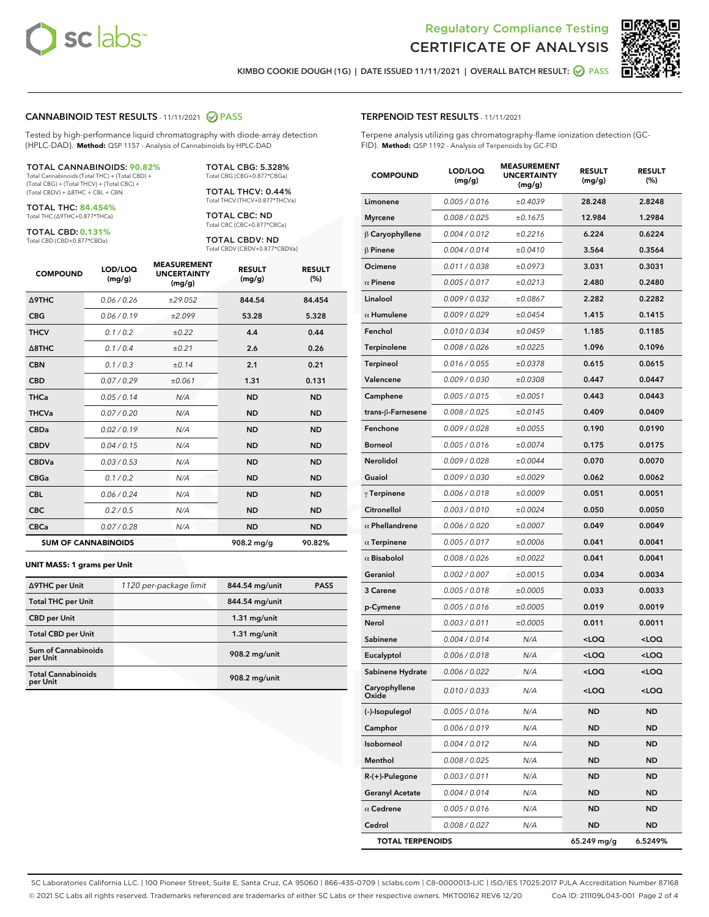



KIMBO COOKIE DOUGH (1G) | DATE ISSUED 11/11/2021 | OVERALL BATCH RESULT: @ PASS

#### CANNABINOID TEST RESULTS - 11/11/2021 2 PASS

Tested by high-performance liquid chromatography with diode-array detection (HPLC-DAD). **Method:** QSP 1157 - Analysis of Cannabinoids by HPLC-DAD

#### TOTAL CANNABINOIDS: **90.82%**

Total Cannabinoids (Total THC) + (Total CBD) + (Total CBG) + (Total THCV) + (Total CBC) + (Total CBDV) + ∆8THC + CBL + CBN

TOTAL THC: **84.454%** Total THC (∆9THC+0.877\*THCa)

TOTAL CBD: **0.131%**

Total CBD (CBD+0.877\*CBDa)

TOTAL CBG: 5.328% Total CBG (CBG+0.877\*CBGa)

TOTAL THCV: 0.44% Total THCV (THCV+0.877\*THCVa)

TOTAL CBC: ND Total CBC (CBC+0.877\*CBCa)

TOTAL CBDV: ND Total CBDV (CBDV+0.877\*CBDVa)

| <b>COMPOUND</b>            | LOD/LOQ<br>(mg/g) | <b>MEASUREMENT</b><br><b>UNCERTAINTY</b><br>(mg/g) | <b>RESULT</b><br>(mg/g) | <b>RESULT</b><br>(%) |
|----------------------------|-------------------|----------------------------------------------------|-------------------------|----------------------|
| <b>A9THC</b>               | 0.06 / 0.26       | ±29.052                                            | 844.54                  | 84.454               |
| <b>CBG</b>                 | 0.06 / 0.19       | ±2.099                                             | 53.28                   | 5.328                |
| <b>THCV</b>                | 0.1 / 0.2         | ±0.22                                              | 4.4                     | 0.44                 |
| $\triangle$ 8THC           | 0.1/0.4           | ±0.21                                              | 2.6                     | 0.26                 |
| <b>CBN</b>                 | 0.1 / 0.3         | ±0.14                                              | 2.1                     | 0.21                 |
| <b>CBD</b>                 | 0.07/0.29         | ±0.061                                             | 1.31                    | 0.131                |
| <b>THCa</b>                | 0.05/0.14         | N/A                                                | <b>ND</b>               | <b>ND</b>            |
| <b>THCVa</b>               | 0.07/0.20         | N/A                                                | <b>ND</b>               | <b>ND</b>            |
| <b>CBDa</b>                | 0.02/0.19         | N/A                                                | <b>ND</b>               | <b>ND</b>            |
| <b>CBDV</b>                | 0.04 / 0.15       | N/A                                                | <b>ND</b>               | <b>ND</b>            |
| <b>CBDVa</b>               | 0.03/0.53         | N/A                                                | <b>ND</b>               | <b>ND</b>            |
| <b>CBGa</b>                | 0.1/0.2           | N/A                                                | <b>ND</b>               | <b>ND</b>            |
| <b>CBL</b>                 | 0.06 / 0.24       | N/A                                                | <b>ND</b>               | <b>ND</b>            |
| <b>CBC</b>                 | 0.2 / 0.5         | N/A                                                | <b>ND</b>               | <b>ND</b>            |
| <b>CBCa</b>                | 0.07 / 0.28       | N/A                                                | <b>ND</b>               | <b>ND</b>            |
| <b>SUM OF CANNABINOIDS</b> |                   |                                                    | 908.2 mg/g              | 90.82%               |

#### **UNIT MASS: 1 grams per Unit**

| ∆9THC per Unit                         | 1120 per-package limit | 844.54 mg/unit | <b>PASS</b> |
|----------------------------------------|------------------------|----------------|-------------|
| <b>Total THC per Unit</b>              |                        | 844.54 mg/unit |             |
| <b>CBD</b> per Unit                    |                        | $1.31$ mg/unit |             |
| <b>Total CBD per Unit</b>              |                        | $1.31$ mg/unit |             |
| <b>Sum of Cannabinoids</b><br>per Unit |                        | 908.2 mg/unit  |             |
| <b>Total Cannabinoids</b><br>per Unit  |                        | 908.2 mg/unit  |             |

| <b>COMPOUND</b>         | LOD/LOQ<br>(mg/g) | <b>MEASUREMENT</b><br><b>UNCERTAINTY</b><br>(mg/g) | <b>RESULT</b><br>(mg/g)                         | <b>RESULT</b><br>(%) |
|-------------------------|-------------------|----------------------------------------------------|-------------------------------------------------|----------------------|
| Limonene                | 0.005 / 0.016     | ±0.4039                                            | 28.248                                          | 2.8248               |
| <b>Myrcene</b>          | 0.008 / 0.025     | ±0.1675                                            | 12.984                                          | 1.2984               |
| β Caryophyllene         | 0.004 / 0.012     | ±0.2216                                            | 6.224                                           | 0.6224               |
| $\beta$ Pinene          | 0.004 / 0.014     | ±0.0410                                            | 3.564                                           | 0.3564               |
| Ocimene                 | 0.011 / 0.038     | ±0.0973                                            | 3.031                                           | 0.3031               |
| $\alpha$ Pinene         | 0.005 / 0.017     | ±0.0213                                            | 2.480                                           | 0.2480               |
| Linalool                | 0.009 / 0.032     | ±0.0867                                            | 2.282                                           | 0.2282               |
| $\alpha$ Humulene       | 0.009 / 0.029     | ±0.0454                                            | 1.415                                           | 0.1415               |
| Fenchol                 | 0.010 / 0.034     | ±0.0459                                            | 1.185                                           | 0.1185               |
| <b>Terpinolene</b>      | 0.008 / 0.026     | ±0.0225                                            | 1.096                                           | 0.1096               |
| <b>Terpineol</b>        | 0.016 / 0.055     | ±0.0378                                            | 0.615                                           | 0.0615               |
| Valencene               | 0.009 / 0.030     | ±0.0308                                            | 0.447                                           | 0.0447               |
| Camphene                | 0.005 / 0.015     | ±0.0051                                            | 0.443                                           | 0.0443               |
| trans-ß-Farnesene       | 0.008 / 0.025     | ±0.0145                                            | 0.409                                           | 0.0409               |
| Fenchone                | 0.009 / 0.028     | ±0.0055                                            | 0.190                                           | 0.0190               |
| <b>Borneol</b>          | 0.005 / 0.016     | ±0.0074                                            | 0.175                                           | 0.0175               |
| Nerolidol               | 0.009 / 0.028     | ±0.0044                                            | 0.070                                           | 0.0070               |
| Guaiol                  | 0.009 / 0.030     | ±0.0029                                            | 0.062                                           | 0.0062               |
| $\gamma$ Terpinene      | 0.006 / 0.018     | ±0.0009                                            | 0.051                                           | 0.0051               |
| Citronellol             | 0.003 / 0.010     | ±0.0024                                            | 0.050                                           | 0.0050               |
| $\alpha$ Phellandrene   | 0.006 / 0.020     | ±0.0007                                            | 0.049                                           | 0.0049               |
| $\alpha$ Terpinene      | 0.005 / 0.017     | ±0.0006                                            | 0.041                                           | 0.0041               |
| $\alpha$ Bisabolol      | 0.008 / 0.026     | ±0.0022                                            | 0.041                                           | 0.0041               |
| Geraniol                | 0.002 / 0.007     | ±0.0015                                            | 0.034                                           | 0.0034               |
| 3 Carene                | 0.005 / 0.018     | ±0.0005                                            | 0.033                                           | 0.0033               |
| p-Cymene                | 0.005 / 0.016     | ±0.0005                                            | 0.019                                           | 0.0019               |
| Nerol                   | 0.003 / 0.011     | ±0.0005                                            | 0.011                                           | 0.0011               |
| Sabinene                | 0.004 / 0.014     | N/A                                                | <loq< th=""><th><loq< th=""></loq<></th></loq<> | <loq< th=""></loq<>  |
| Eucalyptol              | 0.006 / 0.018     | N/A                                                | <loq< th=""><th><loq< th=""></loq<></th></loq<> | <loq< th=""></loq<>  |
| Sabinene Hydrate        | 0.006 / 0.022     | N/A                                                | <loq< th=""><th><loq< th=""></loq<></th></loq<> | <loq< th=""></loq<>  |
| Caryophyllene<br>Oxide  | 0.010 / 0.033     | N/A                                                | <loq< th=""><th><loq< th=""></loq<></th></loq<> | <loq< th=""></loq<>  |
| (-)-Isopulegol          | 0.005 / 0.016     | N/A                                                | ND                                              | ND                   |
| Camphor                 | 0.006 / 0.019     | N/A                                                | ND                                              | ND                   |
| Isoborneol              | 0.004 / 0.012     | N/A                                                | ND                                              | ND                   |
| Menthol                 | 0.008 / 0.025     | N/A                                                | ND                                              | ND                   |
| R-(+)-Pulegone          | 0.003 / 0.011     | N/A                                                | ND                                              | ND                   |
| <b>Geranyl Acetate</b>  | 0.004 / 0.014     | N/A                                                | ND                                              | ND                   |
| $\alpha$ Cedrene        | 0.005 / 0.016     | N/A                                                | ND                                              | ND                   |
| Cedrol                  | 0.008 / 0.027     | N/A                                                | ND                                              | ND                   |
| <b>TOTAL TERPENOIDS</b> |                   |                                                    | 65.249 mg/g                                     | 6.5249%              |

SC Laboratories California LLC. | 100 Pioneer Street, Suite E, Santa Cruz, CA 95060 | 866-435-0709 | sclabs.com | C8-0000013-LIC | ISO/IES 17025:2017 PJLA Accreditation Number 87168 © 2021 SC Labs all rights reserved. Trademarks referenced are trademarks of either SC Labs or their respective owners. MKT00162 REV6 12/20 CoA ID: 211109L043-001 Page 2 of 4

#### TERPENOID TEST RESULTS - 11/11/2021

Terpene analysis utilizing gas chromatography-flame ionization detection (GC-FID). **Method:** QSP 1192 - Analysis of Terpenoids by GC-FID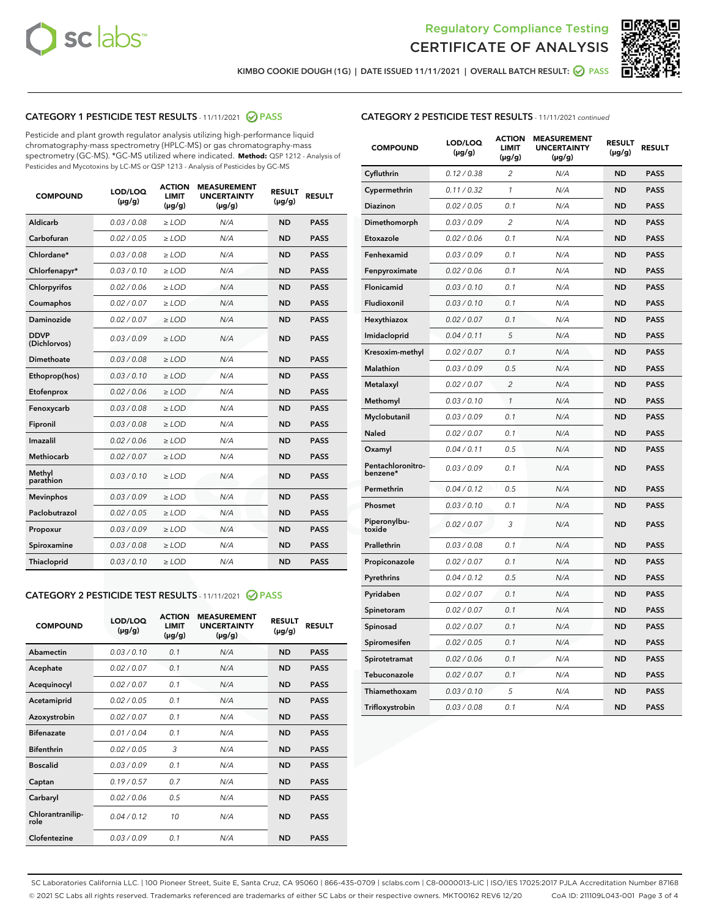



KIMBO COOKIE DOUGH (1G) | DATE ISSUED 11/11/2021 | OVERALL BATCH RESULT: <mark>⊘</mark> PASS

#### CATEGORY 1 PESTICIDE TEST RESULTS - 11/11/2021 2 PASS

Pesticide and plant growth regulator analysis utilizing high-performance liquid chromatography-mass spectrometry (HPLC-MS) or gas chromatography-mass spectrometry (GC-MS). \*GC-MS utilized where indicated. **Method:** QSP 1212 - Analysis of Pesticides and Mycotoxins by LC-MS or QSP 1213 - Analysis of Pesticides by GC-MS

| <b>COMPOUND</b>             | LOD/LOQ<br>$(\mu g/g)$ | <b>ACTION</b><br><b>LIMIT</b><br>$(\mu q/q)$ | <b>MEASUREMENT</b><br><b>UNCERTAINTY</b><br>$(\mu g/g)$ | <b>RESULT</b><br>$(\mu g/g)$ | <b>RESULT</b> |
|-----------------------------|------------------------|----------------------------------------------|---------------------------------------------------------|------------------------------|---------------|
| Aldicarb                    | 0.03 / 0.08            | $\ge$ LOD                                    | N/A                                                     | <b>ND</b>                    | <b>PASS</b>   |
| Carbofuran                  | 0.02 / 0.05            | $\ge$ LOD                                    | N/A                                                     | <b>ND</b>                    | <b>PASS</b>   |
| Chlordane*                  | 0.03 / 0.08            | $\ge$ LOD                                    | N/A                                                     | <b>ND</b>                    | <b>PASS</b>   |
| Chlorfenapyr*               | 0.03/0.10              | $\ge$ LOD                                    | N/A                                                     | <b>ND</b>                    | <b>PASS</b>   |
| Chlorpyrifos                | 0.02 / 0.06            | $\ge$ LOD                                    | N/A                                                     | <b>ND</b>                    | <b>PASS</b>   |
| Coumaphos                   | 0.02 / 0.07            | $\ge$ LOD                                    | N/A                                                     | <b>ND</b>                    | <b>PASS</b>   |
| Daminozide                  | 0.02 / 0.07            | $\ge$ LOD                                    | N/A                                                     | <b>ND</b>                    | <b>PASS</b>   |
| <b>DDVP</b><br>(Dichlorvos) | 0.03/0.09              | $\ge$ LOD                                    | N/A                                                     | <b>ND</b>                    | <b>PASS</b>   |
| Dimethoate                  | 0.03 / 0.08            | $\ge$ LOD                                    | N/A                                                     | <b>ND</b>                    | <b>PASS</b>   |
| Ethoprop(hos)               | 0.03/0.10              | $\ge$ LOD                                    | N/A                                                     | <b>ND</b>                    | <b>PASS</b>   |
| Etofenprox                  | 0.02/0.06              | $>$ LOD                                      | N/A                                                     | <b>ND</b>                    | <b>PASS</b>   |
| Fenoxycarb                  | 0.03 / 0.08            | $\ge$ LOD                                    | N/A                                                     | <b>ND</b>                    | <b>PASS</b>   |
| Fipronil                    | 0.03/0.08              | $>$ LOD                                      | N/A                                                     | <b>ND</b>                    | <b>PASS</b>   |
| Imazalil                    | 0.02 / 0.06            | $\ge$ LOD                                    | N/A                                                     | <b>ND</b>                    | <b>PASS</b>   |
| Methiocarb                  | 0.02 / 0.07            | $\ge$ LOD                                    | N/A                                                     | <b>ND</b>                    | <b>PASS</b>   |
| Methyl<br>parathion         | 0.03/0.10              | $>$ LOD                                      | N/A                                                     | <b>ND</b>                    | <b>PASS</b>   |
| <b>Mevinphos</b>            | 0.03/0.09              | $>$ LOD                                      | N/A                                                     | <b>ND</b>                    | <b>PASS</b>   |
| Paclobutrazol               | 0.02 / 0.05            | $>$ LOD                                      | N/A                                                     | <b>ND</b>                    | <b>PASS</b>   |
| Propoxur                    | 0.03/0.09              | $\ge$ LOD                                    | N/A                                                     | <b>ND</b>                    | <b>PASS</b>   |
| Spiroxamine                 | 0.03 / 0.08            | $\ge$ LOD                                    | N/A                                                     | <b>ND</b>                    | <b>PASS</b>   |
| Thiacloprid                 | 0.03/0.10              | $\ge$ LOD                                    | N/A                                                     | <b>ND</b>                    | <b>PASS</b>   |

#### CATEGORY 2 PESTICIDE TEST RESULTS - 11/11/2021 @ PASS

| <b>COMPOUND</b>          | LOD/LOO<br>$(\mu g/g)$ | <b>ACTION</b><br>LIMIT<br>$(\mu g/g)$ | <b>MEASUREMENT</b><br><b>UNCERTAINTY</b><br>$(\mu g/g)$ | <b>RESULT</b><br>$(\mu g/g)$ | <b>RESULT</b> |
|--------------------------|------------------------|---------------------------------------|---------------------------------------------------------|------------------------------|---------------|
| Abamectin                | 0.03/0.10              | 0.1                                   | N/A                                                     | <b>ND</b>                    | <b>PASS</b>   |
| Acephate                 | 0.02/0.07              | 0.1                                   | N/A                                                     | <b>ND</b>                    | <b>PASS</b>   |
| Acequinocyl              | 0.02/0.07              | 0.1                                   | N/A                                                     | <b>ND</b>                    | <b>PASS</b>   |
| Acetamiprid              | 0.02/0.05              | 0.1                                   | N/A                                                     | <b>ND</b>                    | <b>PASS</b>   |
| Azoxystrobin             | 0.02/0.07              | 0.1                                   | N/A                                                     | <b>ND</b>                    | <b>PASS</b>   |
| <b>Bifenazate</b>        | 0.01/0.04              | 0.1                                   | N/A                                                     | <b>ND</b>                    | <b>PASS</b>   |
| <b>Bifenthrin</b>        | 0.02/0.05              | 3                                     | N/A                                                     | <b>ND</b>                    | <b>PASS</b>   |
| <b>Boscalid</b>          | 0.03/0.09              | 0.1                                   | N/A                                                     | <b>ND</b>                    | <b>PASS</b>   |
| Captan                   | 0.19/0.57              | 0.7                                   | N/A                                                     | <b>ND</b>                    | <b>PASS</b>   |
| Carbaryl                 | 0.02/0.06              | 0.5                                   | N/A                                                     | <b>ND</b>                    | <b>PASS</b>   |
| Chlorantranilip-<br>role | 0.04/0.12              | 10                                    | N/A                                                     | <b>ND</b>                    | <b>PASS</b>   |
| Clofentezine             | 0.03/0.09              | 0.1                                   | N/A                                                     | <b>ND</b>                    | <b>PASS</b>   |

#### CATEGORY 2 PESTICIDE TEST RESULTS - 11/11/2021 continued

| <b>COMPOUND</b>               | LOD/LOQ<br>(µg/g) | <b>ACTION</b><br>LIMIT<br>$(\mu g/g)$ | <b>MEASUREMENT</b><br><b>UNCERTAINTY</b><br>(µg/g) | <b>RESULT</b><br>(µg/g) | <b>RESULT</b> |
|-------------------------------|-------------------|---------------------------------------|----------------------------------------------------|-------------------------|---------------|
| Cyfluthrin                    | 0.12 / 0.38       | 2                                     | N/A                                                | ND                      | <b>PASS</b>   |
| Cypermethrin                  | 0.11 / 0.32       | 1                                     | N/A                                                | ND                      | <b>PASS</b>   |
| Diazinon                      | 0.02 / 0.05       | 0.1                                   | N/A                                                | ND                      | <b>PASS</b>   |
| Dimethomorph                  | 0.03 / 0.09       | 2                                     | N/A                                                | <b>ND</b>               | <b>PASS</b>   |
| Etoxazole                     | 0.02 / 0.06       | 0.1                                   | N/A                                                | ND                      | <b>PASS</b>   |
| Fenhexamid                    | 0.03 / 0.09       | 0.1                                   | N/A                                                | ND                      | <b>PASS</b>   |
| Fenpyroximate                 | 0.02 / 0.06       | 0.1                                   | N/A                                                | <b>ND</b>               | <b>PASS</b>   |
| Flonicamid                    | 0.03 / 0.10       | 0.1                                   | N/A                                                | <b>ND</b>               | <b>PASS</b>   |
| Fludioxonil                   | 0.03 / 0.10       | 0.1                                   | N/A                                                | <b>ND</b>               | <b>PASS</b>   |
| Hexythiazox                   | 0.02 / 0.07       | 0.1                                   | N/A                                                | <b>ND</b>               | <b>PASS</b>   |
| Imidacloprid                  | 0.04 / 0.11       | 5                                     | N/A                                                | <b>ND</b>               | <b>PASS</b>   |
| Kresoxim-methyl               | 0.02 / 0.07       | 0.1                                   | N/A                                                | ND                      | <b>PASS</b>   |
| Malathion                     | 0.03 / 0.09       | 0.5                                   | N/A                                                | <b>ND</b>               | <b>PASS</b>   |
| Metalaxyl                     | 0.02 / 0.07       | $\overline{c}$                        | N/A                                                | <b>ND</b>               | <b>PASS</b>   |
| Methomyl                      | 0.03 / 0.10       | 1                                     | N/A                                                | ND                      | <b>PASS</b>   |
| Myclobutanil                  | 0.03/0.09         | 0.1                                   | N/A                                                | <b>ND</b>               | <b>PASS</b>   |
| Naled                         | 0.02 / 0.07       | 0.1                                   | N/A                                                | ND                      | <b>PASS</b>   |
| Oxamyl                        | 0.04 / 0.11       | 0.5                                   | N/A                                                | ND                      | <b>PASS</b>   |
| Pentachloronitro-<br>benzene* | 0.03 / 0.09       | 0.1                                   | N/A                                                | ND                      | <b>PASS</b>   |
| Permethrin                    | 0.04/0.12         | 0.5                                   | N/A                                                | <b>ND</b>               | <b>PASS</b>   |
| Phosmet                       | 0.03 / 0.10       | 0.1                                   | N/A                                                | ND                      | <b>PASS</b>   |
| Piperonylbu-<br>toxide        | 0.02 / 0.07       | 3                                     | N/A                                                | <b>ND</b>               | <b>PASS</b>   |
| Prallethrin                   | 0.03 / 0.08       | 0.1                                   | N/A                                                | <b>ND</b>               | <b>PASS</b>   |
| Propiconazole                 | 0.02 / 0.07       | 0.1                                   | N/A                                                | ND                      | <b>PASS</b>   |
| Pyrethrins                    | 0.04 / 0.12       | 0.5                                   | N/A                                                | ND                      | <b>PASS</b>   |
| Pyridaben                     | 0.02 / 0.07       | 0.1                                   | N/A                                                | <b>ND</b>               | <b>PASS</b>   |
| Spinetoram                    | 0.02 / 0.07       | 0.1                                   | N/A                                                | ND                      | <b>PASS</b>   |
| Spinosad                      | 0.02 / 0.07       | 0.1                                   | N/A                                                | ND                      | <b>PASS</b>   |
| Spiromesifen                  | 0.02 / 0.05       | 0.1                                   | N/A                                                | <b>ND</b>               | <b>PASS</b>   |
| Spirotetramat                 | 0.02 / 0.06       | 0.1                                   | N/A                                                | ND                      | <b>PASS</b>   |
| Tebuconazole                  | 0.02 / 0.07       | 0.1                                   | N/A                                                | ND                      | <b>PASS</b>   |
| Thiamethoxam                  | 0.03 / 0.10       | 5                                     | N/A                                                | <b>ND</b>               | <b>PASS</b>   |
| Trifloxystrobin               | 0.03 / 0.08       | 0.1                                   | N/A                                                | <b>ND</b>               | <b>PASS</b>   |

SC Laboratories California LLC. | 100 Pioneer Street, Suite E, Santa Cruz, CA 95060 | 866-435-0709 | sclabs.com | C8-0000013-LIC | ISO/IES 17025:2017 PJLA Accreditation Number 87168 © 2021 SC Labs all rights reserved. Trademarks referenced are trademarks of either SC Labs or their respective owners. MKT00162 REV6 12/20 CoA ID: 211109L043-001 Page 3 of 4